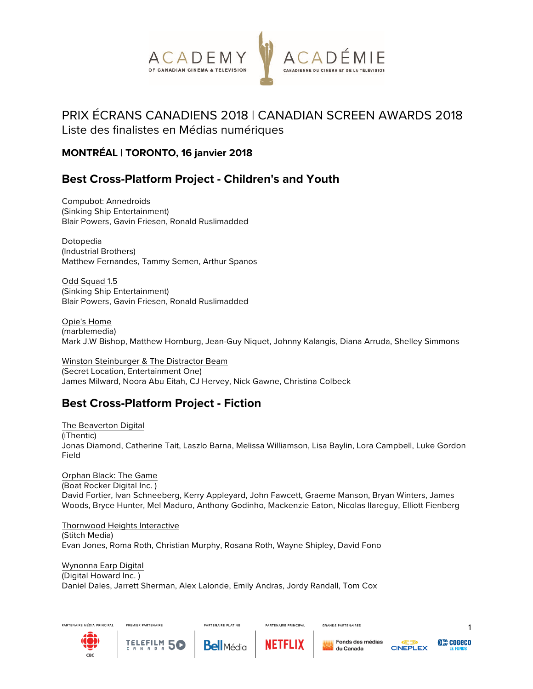

# PRIX ÉCRANS CANADIENS 2018 | CANADIAN SCREEN AWARDS 2018

Liste des finalistes en Médias numériques

#### **MONTRÉAL | TORONTO, 16 janvier 2018**

# **Best Cross-Platform Project - Children's and Youth**

Compubot: Annedroids (Sinking Ship Entertainment) Blair Powers, Gavin Friesen, Ronald Ruslimadded

Dotopedia (Industrial Brothers) Matthew Fernandes, Tammy Semen, Arthur Spanos

Odd Squad 1.5 (Sinking Ship Entertainment) Blair Powers, Gavin Friesen, Ronald Ruslimadded

Opie's Home (marblemedia) Mark J.W Bishop, Matthew Hornburg, Jean-Guy Niquet, Johnny Kalangis, Diana Arruda, Shelley Simmons

Winston Steinburger & The Distractor Beam (Secret Location, Entertainment One) James Milward, Noora Abu Eitah, CJ Hervey, Nick Gawne, Christina Colbeck

# **Best Cross-Platform Project - Fiction**

The Beaverton Digital (iThentic) Jonas Diamond, Catherine Tait, Laszlo Barna, Melissa Williamson, Lisa Baylin, Lora Campbell, Luke Gordon Field

Orphan Black: The Game (Boat Rocker Digital Inc. ) David Fortier, Ivan Schneeberg, Kerry Appleyard, John Fawcett, Graeme Manson, Bryan Winters, James Woods, Bryce Hunter, Mel Maduro, Anthony Godinho, Mackenzie Eaton, Nicolas Ilareguy, Elliott Fienberg

Thornwood Heights Interactive (Stitch Media) Evan Jones, Roma Roth, Christian Murphy, Rosana Roth, Wayne Shipley, David Fono

Wynonna Earp Digital (Digital Howard Inc. ) Daniel Dales, Jarrett Sherman, Alex Lalonde, Emily Andras, Jordy Randall, Tom Cox

**PARTENAIRE PLATINE** 





PREMIER PARTENAIRE





PARTENAIRE PRINCIPAL

**GRANDS PARTENAIRES** 





**((())) COGECO**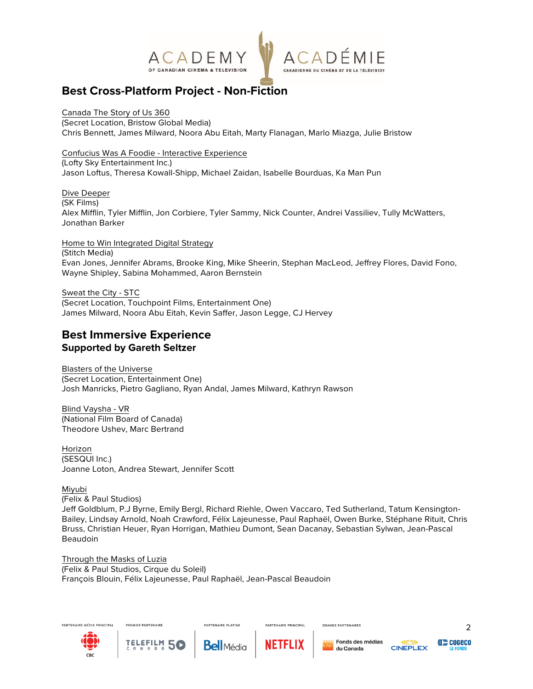

# **Best Cross-Platform Project - Non-Fiction**

Canada The Story of Us 360 (Secret Location, Bristow Global Media) Chris Bennett, James Milward, Noora Abu Eitah, Marty Flanagan, Marlo Miazga, Julie Bristow

Confucius Was A Foodie - Interactive Experience (Lofty Sky Entertainment Inc.) Jason Loftus, Theresa Kowall-Shipp, Michael Zaidan, Isabelle Bourduas, Ka Man Pun

Dive Deeper (SK Films) Alex Mifflin, Tyler Mifflin, Jon Corbiere, Tyler Sammy, Nick Counter, Andrei Vassiliev, Tully McWatters, Jonathan Barker

Home to Win Integrated Digital Strategy (Stitch Media) Evan Jones, Jennifer Abrams, Brooke King, Mike Sheerin, Stephan MacLeod, Jeffrey Flores, David Fono, Wayne Shipley, Sabina Mohammed, Aaron Bernstein

Sweat the City - STC (Secret Location, Touchpoint Films, Entertainment One) James Milward, Noora Abu Eitah, Kevin Saffer, Jason Legge, CJ Hervey

#### **Best Immersive Experience Supported by Gareth Seltzer**

Blasters of the Universe (Secret Location, Entertainment One) Josh Manricks, Pietro Gagliano, Ryan Andal, James Milward, Kathryn Rawson

Blind Vaysha - VR (National Film Board of Canada) Theodore Ushev, Marc Bertrand

Horizon (SESQUI Inc.) Joanne Loton, Andrea Stewart, Jennifer Scott

PREMIER PARTENAIRE

Miyubi (Felix & Paul Studios) Jeff Goldblum, P.J Byrne, Emily Bergl, Richard Riehle, Owen Vaccaro, Ted Sutherland, Tatum Kensington-Bailey, Lindsay Arnold, Noah Crawford, Félix Lajeunesse, Paul Raphaël, Owen Burke, Stéphane Rituit, Chris Bruss, Christian Heuer, Ryan Horrigan, Mathieu Dumont, Sean Dacanay, Sebastian Sylwan, Jean-Pascal Beaudoin

Through the Masks of Luzia (Felix & Paul Studios, Cirque du Soleil) François Blouin, Félix Lajeunesse, Paul Raphaël, Jean-Pascal Beaudoin

**PARTENAIRE PLATINE** 







PARTENAIRE PRINCIPAL



**GRANDS PARTENAIRES** 





**COGECO**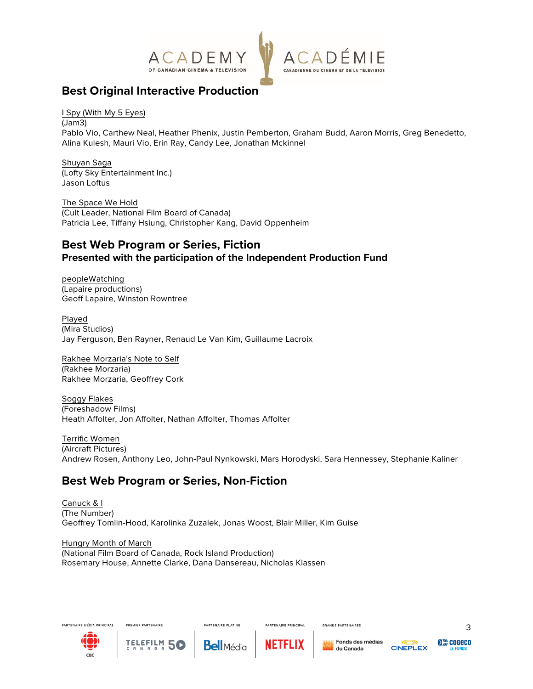

# **Best Original Interactive Production**

I Spy (With My 5 Eyes)

(Jam3) Pablo Vio, Carthew Neal, Heather Phenix, Justin Pemberton, Graham Budd, Aaron Morris, Greg Benedetto, Alina Kulesh, Mauri Vio, Erin Ray, Candy Lee, Jonathan Mckinnel

Shuyan Saga (Lofty Sky Entertainment Inc.) Jason Loftus

The Space We Hold (Cult Leader, National Film Board of Canada) Patricia Lee, Tiffany Hsiung, Christopher Kang, David Oppenheim

#### **Best Web Program or Series, Fiction Presented with the participation of the Independent Production Fund**

peopleWatching (Lapaire productions) Geoff Lapaire, Winston Rowntree

Played (Mira Studios) Jay Ferguson, Ben Rayner, Renaud Le Van Kim, Guillaume Lacroix

Rakhee Morzaria's Note to Self (Rakhee Morzaria) Rakhee Morzaria, Geoffrey Cork

Soggy Flakes (Foreshadow Films) Heath Affolter, Jon Affolter, Nathan Affolter, Thomas Affolter

Terrific Women (Aircraft Pictures) Andrew Rosen, Anthony Leo, John-Paul Nynkowski, Mars Horodyski, Sara Hennessey, Stephanie Kaliner

# **Best Web Program or Series, Non-Fiction**

Canuck & I (The Number) Geoffrey Tomlin-Hood, Karolinka Zuzalek, Jonas Woost, Blair Miller, Kim Guise

**PARTENAIRE PLATINE** 

Hungry Month of March (National Film Board of Canada, Rock Island Production) Rosemary House, Annette Clarke, Dana Dansereau, Nicholas Klassen





PREMIER PARTENAIRE



PARTENAIRE PRINCIPAL



**GRANDS PARTENAIRES** 



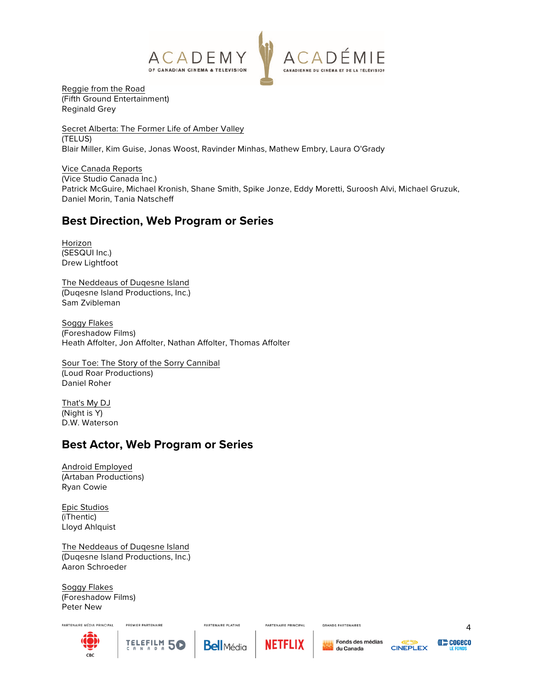

Reggie from the Road (Fifth Ground Entertainment) Reginald Grey

Secret Alberta: The Former Life of Amber Valley (TELUS) Blair Miller, Kim Guise, Jonas Woost, Ravinder Minhas, Mathew Embry, Laura O'Grady

Vice Canada Reports (Vice Studio Canada Inc.) Patrick McGuire, Michael Kronish, Shane Smith, Spike Jonze, Eddy Moretti, Suroosh Alvi, Michael Gruzuk, Daniel Morin, Tania Natscheff

# **Best Direction, Web Program or Series**

Horizon (SESQUI Inc.) Drew Lightfoot

The Neddeaus of Duqesne Island (Duqesne Island Productions, Inc.) Sam Zvibleman

Soggy Flakes (Foreshadow Films) Heath Affolter, Jon Affolter, Nathan Affolter, Thomas Affolter

Sour Toe: The Story of the Sorry Cannibal (Loud Roar Productions) Daniel Roher

That's My DJ (Night is Y) D.W. Waterson

# **Best Actor, Web Program or Series**

Android Employed (Artaban Productions) Ryan Cowie

Epic Studios (iThentic) Lloyd Ahlquist

The Neddeaus of Duqesne Island (Duqesne Island Productions, Inc.) Aaron Schroeder

PREMIER PARTENAIRE

TELEFILM 5

N A D F

Soggy Flakes (Foreshadow Films) Peter New





**PARTENAIRE PLATINE** 



PARTENAIRE PRINCIPAL

**GRANDS PARTENAIRES**